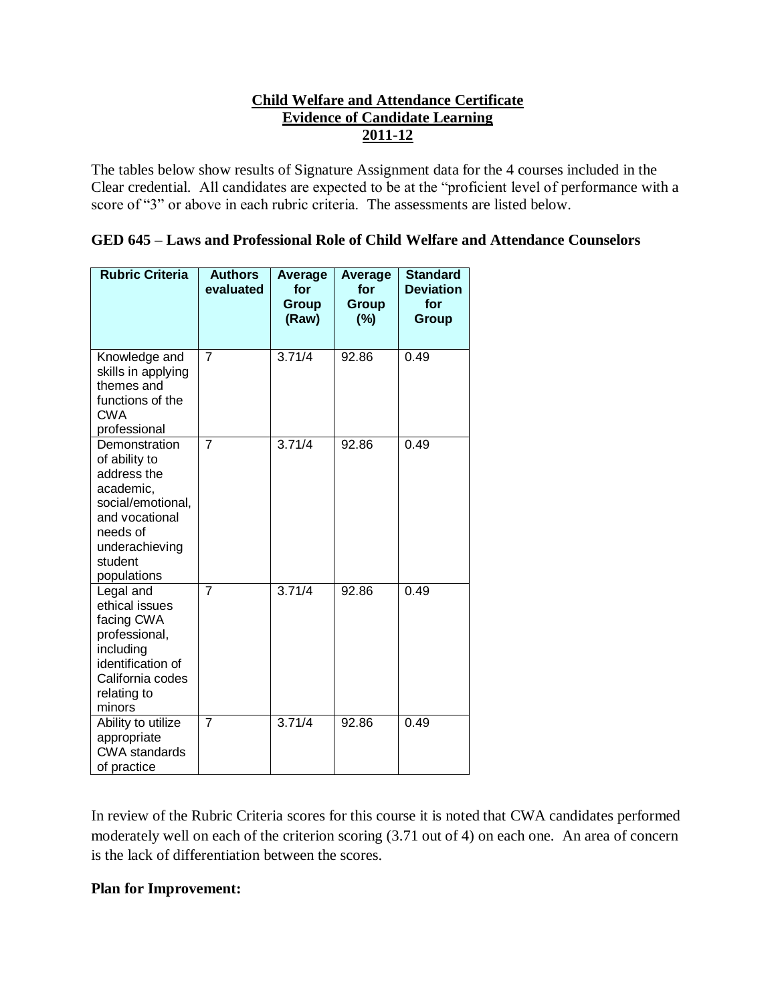## **Child Welfare and Attendance Certificate Evidence of Candidate Learning 2011-12**

The tables below show results of Signature Assignment data for the 4 courses included in the Clear credential. All candidates are expected to be at the "proficient level of performance with a score of "3" or above in each rubric criteria. The assessments are listed below.

| GED 645 – Laws and Professional Role of Child Welfare and Attendance Counselors |  |  |  |  |  |  |  |  |  |  |
|---------------------------------------------------------------------------------|--|--|--|--|--|--|--|--|--|--|
|---------------------------------------------------------------------------------|--|--|--|--|--|--|--|--|--|--|

| <b>Rubric Criteria</b>                                                                                                                                    | <b>Authors</b><br>evaluated | <b>Average</b><br>for<br>Group<br>(Raw) | Average<br>for<br><b>Group</b><br>(%) | <b>Standard</b><br><b>Deviation</b><br>for<br>Group |
|-----------------------------------------------------------------------------------------------------------------------------------------------------------|-----------------------------|-----------------------------------------|---------------------------------------|-----------------------------------------------------|
| Knowledge and<br>skills in applying<br>themes and<br>functions of the<br><b>CWA</b><br>professional                                                       | $\overline{7}$              | 3.71/4                                  | 92.86                                 | 0.49                                                |
| Demonstration<br>of ability to<br>address the<br>academic,<br>social/emotional,<br>and vocational<br>needs of<br>underachieving<br>student<br>populations | $\overline{7}$              | 3.71/4                                  | 92.86                                 | 0.49                                                |
| Legal and<br>ethical issues<br>facing CWA<br>professional,<br>including<br>identification of<br>California codes<br>relating to<br>minors                 | $\overline{7}$              | 3.71/4                                  | 92.86                                 | 0.49                                                |
| Ability to utilize<br>appropriate<br><b>CWA</b> standards<br>of practice                                                                                  | $\overline{7}$              | 3.71/4                                  | 92.86                                 | 0.49                                                |

In review of the Rubric Criteria scores for this course it is noted that CWA candidates performed moderately well on each of the criterion scoring (3.71 out of 4) on each one. An area of concern is the lack of differentiation between the scores.

## **Plan for Improvement:**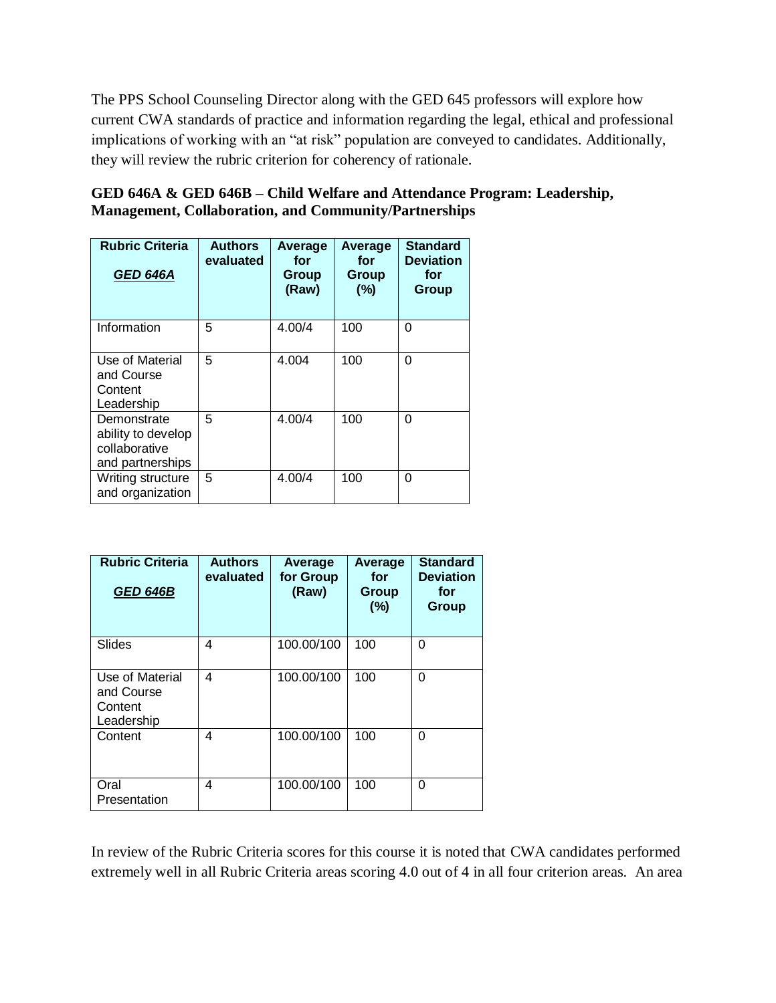The PPS School Counseling Director along with the GED 645 professors will explore how current CWA standards of practice and information regarding the legal, ethical and professional implications of working with an "at risk" population are conveyed to candidates. Additionally, they will review the rubric criterion for coherency of rationale.

| GED 646A & GED 646B – Child Welfare and Attendance Program: Leadership, |
|-------------------------------------------------------------------------|
| <b>Management, Collaboration, and Community/Partnerships</b>            |

| <b>Rubric Criteria</b><br><b>GED 646A</b>                              | <b>Authors</b><br>evaluated | Average<br>for<br>Group<br>(Raw) | Average<br>for<br>Group<br>(%) | <b>Standard</b><br><b>Deviation</b><br>for<br>Group |
|------------------------------------------------------------------------|-----------------------------|----------------------------------|--------------------------------|-----------------------------------------------------|
| Information                                                            | 5                           | 4.00/4                           | 100                            | 0                                                   |
| Use of Material<br>and Course<br>Content<br>Leadership                 | 5                           | 4.004                            | 100                            | O                                                   |
| Demonstrate<br>ability to develop<br>collaborative<br>and partnerships | 5                           | 4.00/4                           | 100                            | O                                                   |
| Writing structure<br>and organization                                  | 5                           | 4.00/4                           | 100                            | O                                                   |

| <b>Rubric Criteria</b><br><b>GED 646B</b>              | <b>Authors</b><br>evaluated | Average<br>for Group<br>(Raw) | <b>Average</b><br>for<br>Group<br>(%) | <b>Standard</b><br><b>Deviation</b><br>for<br>Group |  |
|--------------------------------------------------------|-----------------------------|-------------------------------|---------------------------------------|-----------------------------------------------------|--|
| <b>Slides</b>                                          | 4                           | 100.00/100                    | 100                                   | 0                                                   |  |
| Use of Material<br>and Course<br>Content<br>Leadership | 4                           | 100.00/100                    | 100                                   | 0                                                   |  |
| Content                                                | 4                           | 100.00/100                    | 100                                   | 0                                                   |  |
| Oral<br>Presentation                                   | 4                           | 100.00/100                    | 100                                   | 0                                                   |  |

In review of the Rubric Criteria scores for this course it is noted that CWA candidates performed extremely well in all Rubric Criteria areas scoring 4.0 out of 4 in all four criterion areas. An area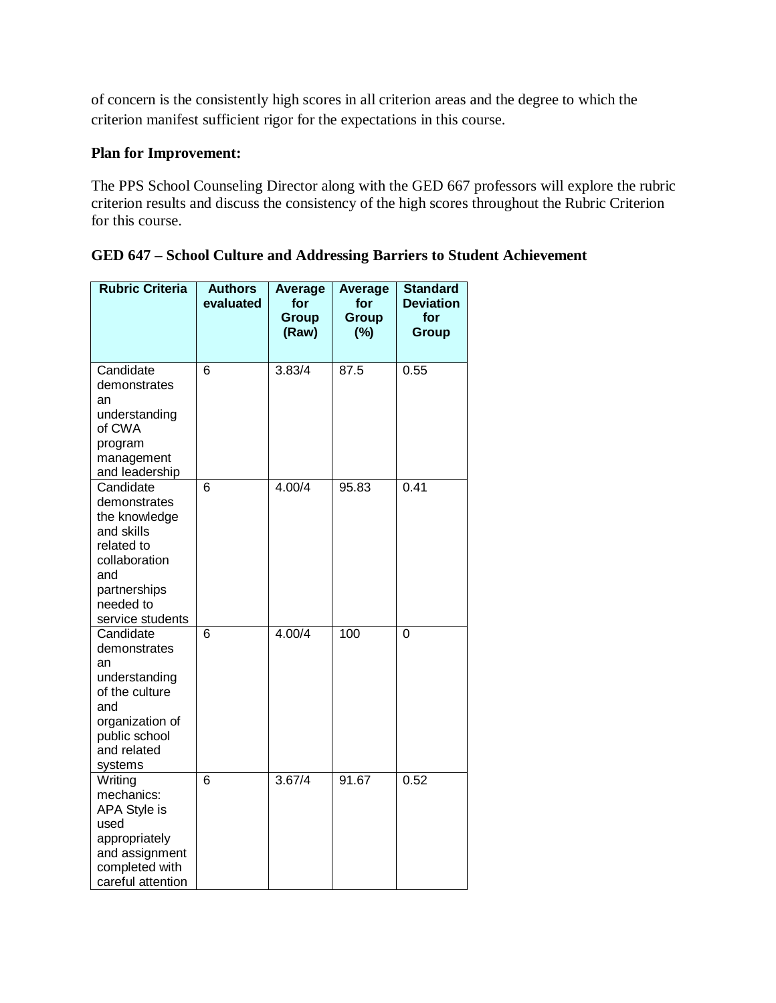of concern is the consistently high scores in all criterion areas and the degree to which the criterion manifest sufficient rigor for the expectations in this course.

## **Plan for Improvement:**

The PPS School Counseling Director along with the GED 667 professors will explore the rubric criterion results and discuss the consistency of the high scores throughout the Rubric Criterion for this course.

| <b>Rubric Criteria</b>                                                                                                                          | <b>Authors</b><br>evaluated | <b>Average</b><br>for<br>Group<br>(Raw) | <b>Average</b><br>for<br>Group<br>(%) | <b>Standard</b><br><b>Deviation</b><br>for<br>Group |
|-------------------------------------------------------------------------------------------------------------------------------------------------|-----------------------------|-----------------------------------------|---------------------------------------|-----------------------------------------------------|
| Candidate<br>demonstrates<br>an<br>understanding<br>of CWA<br>program<br>management<br>and leadership                                           | 6                           | 3.83/4                                  | 87.5                                  | 0.55                                                |
| Candidate<br>demonstrates<br>the knowledge<br>and skills<br>related to<br>collaboration<br>and<br>partnerships<br>needed to<br>service students | 6                           | 4.00/4                                  | 95.83                                 | 0.41                                                |
| Candidate<br>demonstrates<br>an<br>understanding<br>of the culture<br>and<br>organization of<br>public school<br>and related<br>systems         | 6                           | 4.00/4                                  | 100                                   | $\overline{0}$                                      |
| Writing<br>mechanics:<br>APA Style is<br>used<br>appropriately<br>and assignment<br>completed with<br>careful attention                         | $\overline{6}$              | 3.67/4                                  | 91.67                                 | 0.52                                                |

|  |  |  | GED 647 – School Culture and Addressing Barriers to Student Achievement |
|--|--|--|-------------------------------------------------------------------------|
|  |  |  |                                                                         |